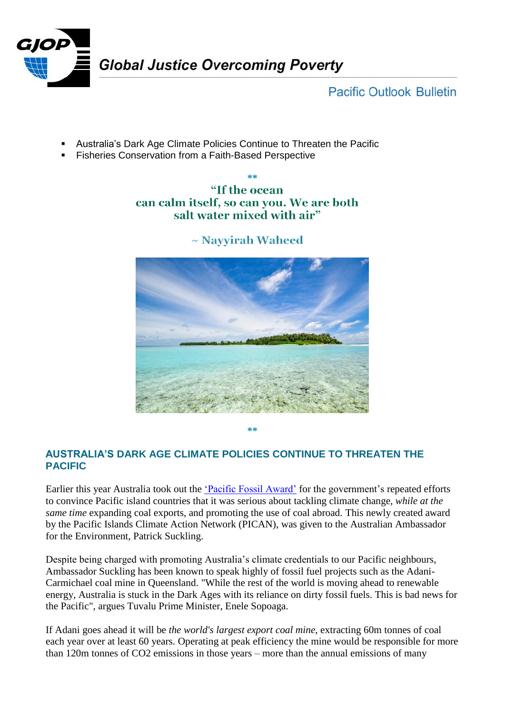

**Pacific Outlook Bulletin** 

- Australia's Dark Age Climate Policies Continue to Threaten the Pacific
- Fisheries Conservation from a Faith-Based Perspective

## **\*\*** "If the ocean can calm itself, so can you. We are both salt water mixed with air"



 $\sim$  Navyirah Waheed

**\*\***

## **AUSTRALIA'S DARK AGE CLIMATE POLICIES CONTINUE TO THREATEN THE PACIFIC**

Earlier this year Australia took out the ['Pacific Fossil Award'](https://vanuatuindependent.com/2017/08/21/pacific-civil-society-calls-out-australia-with-new-climate-award/) for the government's repeated efforts to convince Pacific island countries that it was serious about tackling climate change, *while at the same time* expanding coal exports, and promoting the use of coal abroad. This newly created award by the Pacific Islands Climate Action Network (PICAN), was given to the Australian Ambassador for the Environment, Patrick Suckling.

Despite being charged with promoting Australia's climate credentials to our Pacific neighbours, Ambassador Suckling has been known to speak highly of fossil fuel projects such as the Adani-Carmichael coal mine in Queensland. "While the rest of the world is moving ahead to renewable energy, Australia is stuck in the Dark Ages with its reliance on dirty fossil fuels. This is bad news for the Pacific", argues Tuvalu Prime Minister, Enele Sopoaga.

If Adani goes ahead it will be *the world's largest export coal mine*, extracting 60m tonnes of coal each year over at least 60 years. Operating at peak efficiency the mine would be responsible for more than 120m tonnes of CO2 emissions in those years – more than the annual emissions of many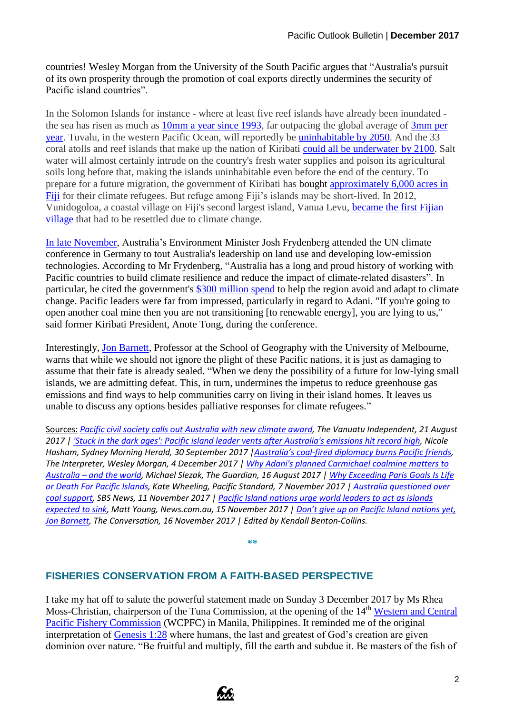countries! Wesley Morgan from the University of the South Pacific argues that "Australia's pursuit of its own prosperity through the promotion of coal exports directly undermines the security of Pacific island countries".

In the Solomon Islands for instance - where at least five reef islands have already been inundated the sea has risen as much as 10mm [a year since 1993,](http://theconversation.com/sea-level-rise-has-claimed-five-whole-islands-in-the-pacific-first-scientific-evidence-58511) far outpacing the global average of [3mm](https://theconversation.com/sea-level-is-rising-fast-and-it-seems-to-be-speeding-up-39253) per [year.](https://theconversation.com/sea-level-is-rising-fast-and-it-seems-to-be-speeding-up-39253) Tuvalu, in the western Pacific Ocean, will reportedly be [uninhabitable by 2050.](http://www.news.com.au/technology/environment/pacific-island-nations-urge-world-leaders-to-act-as-islands-expected-to-sink/news-story/9416ac1726d1f8d02a1ae435924e364f) And the 33 coral atolls and reef islands that make up the nation of Kiribati [could all be underwater by 2100.](https://psmag.com/environment/cop23-exceeding-paris-goals-is-life-or-death-for-pacific-islands) Salt water will almost certainly intrude on the country's fresh water supplies and poison its agricultural soils long before that, making the islands uninhabitable even before the end of the century. To prepare for a future migration, the government of Kiribati has [bought](https://www.nytimes.com/2016/07/03/world/asia/climate-change-kiribati.html) [approximately 6,000 acres in](https://psmag.com/environment/cop23-exceeding-paris-goals-is-life-or-death-for-pacific-islands)  [Fiji](https://psmag.com/environment/cop23-exceeding-paris-goals-is-life-or-death-for-pacific-islands) for their climate refugees. But refuge among Fiji's islands may be short-lived. In 2012, Vunidogoloa, a coastal village on Fiji's second largest island, Vanua Levu, [became the first Fijian](https://psmag.com/environment/cop23-exceeding-paris-goals-is-life-or-death-for-pacific-islands)  [village](https://psmag.com/environment/cop23-exceeding-paris-goals-is-life-or-death-for-pacific-islands) that had to be resettled due to climate change.

[In late November,](https://www.sbs.com.au/news/australia-questioned-over-coal-support) Australia's Environment Minister Josh Frydenberg attended the UN climate conference in Germany to tout Australia's leadership on land use and developing low-emission technologies. According to Mr Frydenberg, "Australia has a long and proud history of working with Pacific countries to build climate resilience and reduce the impact of climate-related disasters". In particular, he cited the government's [\\$300 million spend](https://www.sbs.com.au/news/australia-questioned-over-coal-support) to help the region avoid and adapt to climate change. Pacific leaders were far from impressed, particularly in regard to Adani. "If you're going to open another coal mine then you are not transitioning [to renewable energy], you are lying to us," said former Kiribati President, Anote Tong, during the conference.

Interestingly, [Jon Barnett,](https://theconversation.com/dont-give-up-on-pacific-island-nations-yet-83300) Professor at the School of Geography with the University of Melbourne, warns that while we should not ignore the plight of these Pacific nations, it is just as damaging to assume that their fate is already sealed. "When we deny the possibility of a future for low-lying small islands, we are admitting defeat. This, in turn, undermines the impetus to reduce greenhouse gas emissions and find ways to help communities carry on living in their island homes. It leaves us unable to discuss any options besides palliative responses for climate refugees."

Sources: *[Pacific civil society calls out Australia with new climate award,](https://vanuatuindependent.com/2017/08/21/pacific-civil-society-calls-out-australia-with-new-climate-award/) The Vanuatu Independent, 21 August 2017 [| 'Stuck in the dark ages': Pacific island leader vents after Australia's emissions hit record high,](http://www.smh.com.au/federal-politics/political-news/stuck-in-the-dark-ages-pacific-island-leader-vents-after-australias-emissions-hit-record-high-20170929-gyrbi6.html) Nicole Hasham, Sydney Morning Herald, 30 September 2017 |Australia's coal[-fired diplomacy burns Pacific friends,](https://www.lowyinstitute.org/the-interpreter/australia-coal-fired-diplomacy-burns-pacific-friends) The Interpreter, Wesley Morgan, 4 December 2017 | [Why Adani's planned Carmichael coalmine matters to](https://www.theguardian.com/business/2017/aug/16/why-adanis-planned-carmichael-coalmine-matters-to-australia-and-the-world)  Australia – [and the world,](https://www.theguardian.com/business/2017/aug/16/why-adanis-planned-carmichael-coalmine-matters-to-australia-and-the-world) Michael Slezak, The Guardian, 16 August 2017 | [Why Exceeding Paris Goals Is Life](https://psmag.com/environment/cop23-exceeding-paris-goals-is-life-or-death-for-pacific-islands)  [or Death For Pacific Islands,](https://psmag.com/environment/cop23-exceeding-paris-goals-is-life-or-death-for-pacific-islands) Kate Wheeling, Pacific Standard, 7 November 2017 | [Australia questioned over](https://www.sbs.com.au/news/australia-questioned-over-coal-support)  [coal support,](https://www.sbs.com.au/news/australia-questioned-over-coal-support) SBS News, 11 November 2017 | [Pacific Island nations urge world leaders to act as islands](http://www.news.com.au/technology/environment/pacific-island-nations-urge-world-leaders-to-act-as-islands-expected-to-sink/news-story/9416ac1726d1f8d02a1ae435924e364f)  [expected to sink,](http://www.news.com.au/technology/environment/pacific-island-nations-urge-world-leaders-to-act-as-islands-expected-to-sink/news-story/9416ac1726d1f8d02a1ae435924e364f) Matt Young, News.com.au, 15 November 2017 | [Don't give up on Pacific Island nations yet,](https://theconversation.com/dont-give-up-on-pacific-island-nations-yet-83300)  [Jon Barnett,](https://theconversation.com/dont-give-up-on-pacific-island-nations-yet-83300) The Conversation, 16 November 2017 | Edited by Kendall Benton-Collins.*

**\*\***

## **FISHERIES CONSERVATION FROM A FAITH-BASED PERSPECTIVE**

I take my hat off to salute the powerful statement made on Sunday 3 December 2017 by Ms Rhea Moss-Christian, chairperson of the Tuna Commission, at the opening of the 14<sup>th</sup> Western and Central [Pacific Fishery Commission](https://www.wcpfc.int/meetings/wcpfc14) (WCPFC) in Manila, Philippines. It reminded me of the original interpretation of [Genesis 1:28](https://www.biblegateway.com/passage/?search=Genesis+1:28) where humans, the last and greatest of God's creation are given dominion over nature. "Be fruitful and multiply, fill the earth and subdue it. Be masters of the fish of

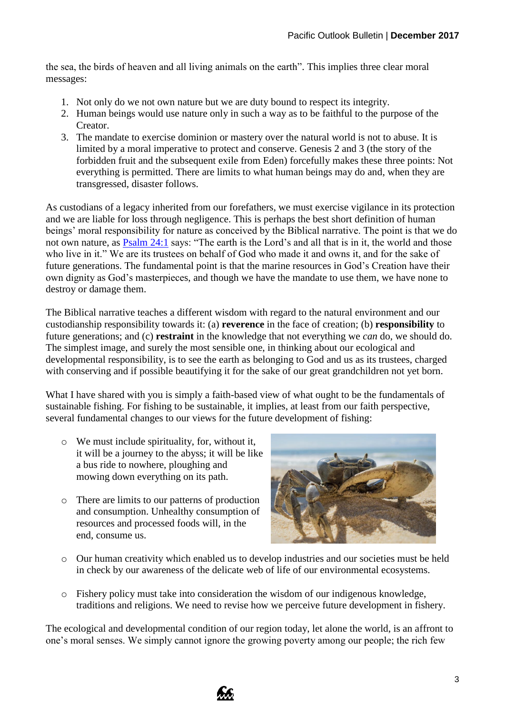the sea, the birds of heaven and all living animals on the earth". This implies three clear moral messages:

- 1. Not only do we not own nature but we are duty bound to respect its integrity.
- 2. Human beings would use nature only in such a way as to be faithful to the purpose of the Creator.
- 3. The mandate to exercise dominion or mastery over the natural world is not to abuse. It is limited by a moral imperative to protect and conserve. Genesis 2 and 3 (the story of the forbidden fruit and the subsequent exile from Eden) forcefully makes these three points: Not everything is permitted. There are limits to what human beings may do and, when they are transgressed, disaster follows.

As custodians of a legacy inherited from our forefathers, we must exercise vigilance in its protection and we are liable for loss through negligence. This is perhaps the best short definition of human beings' moral responsibility for nature as conceived by the Biblical narrative. The point is that we do not own nature, as **[Psalm 24:1](https://www.biblegateway.com/passage/?search=Psalm+24%3A1)** says: "The earth is the Lord's and all that is in it, the world and those who live in it." We are its trustees on behalf of God who made it and owns it, and for the sake of future generations. The fundamental point is that the marine resources in God's Creation have their own dignity as God's masterpieces, and though we have the mandate to use them, we have none to destroy or damage them.

The Biblical narrative teaches a different wisdom with regard to the natural environment and our custodianship responsibility towards it: (a) **reverence** in the face of creation; (b) **responsibility** to future generations; and (c) **restraint** in the knowledge that not everything we *can* do, we should do. The simplest image, and surely the most sensible one, in thinking about our ecological and developmental responsibility, is to see the earth as belonging to God and us as its trustees, charged with conserving and if possible beautifying it for the sake of our great grandchildren not yet born.

What I have shared with you is simply a faith-based view of what ought to be the fundamentals of sustainable fishing. For fishing to be sustainable, it implies, at least from our faith perspective, several fundamental changes to our views for the future development of fishing:

- o We must include spirituality, for, without it, it will be a journey to the abyss; it will be like a bus ride to nowhere, ploughing and mowing down everything on its path.
- o There are limits to our patterns of production and consumption. Unhealthy consumption of resources and processed foods will, in the end, consume us.



- o Our human creativity which enabled us to develop industries and our societies must be held in check by our awareness of the delicate web of life of our environmental ecosystems.
- o Fishery policy must take into consideration the wisdom of our indigenous knowledge, traditions and religions. We need to revise how we perceive future development in fishery.

The ecological and developmental condition of our region today, let alone the world, is an affront to one's moral senses. We simply cannot ignore the growing poverty among our people; the rich few